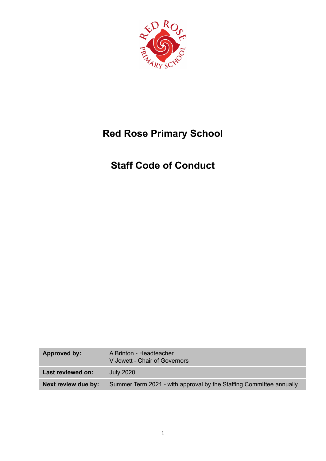

# **Red Rose Primary School**

# **Staff Code of Conduct**

| Approved by:        | A Brinton - Headteacher<br>V Jowett - Chair of Governors            |
|---------------------|---------------------------------------------------------------------|
| Last reviewed on:   | <b>July 2020</b>                                                    |
| Next review due by: | Summer Term 2021 - with approval by the Staffing Committee annually |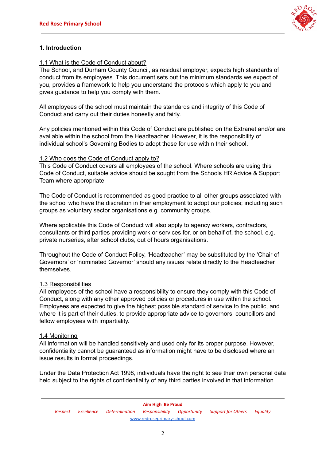

## **1. Introduction**

#### 1.1 What is the Code of Conduct about?

The School, and Durham County Council, as residual employer, expects high standards of conduct from its employees. This document sets out the minimum standards we expect of you, provides a framework to help you understand the protocols which apply to you and gives guidance to help you comply with them.

All employees of the school must maintain the standards and integrity of this Code of Conduct and carry out their duties honestly and fairly.

Any policies mentioned within this Code of Conduct are published on the Extranet and/or are available within the school from the Headteacher. However, it is the responsibility of individual school's Governing Bodies to adopt these for use within their school.

#### 1.2 Who does the Code of Conduct apply to?

This Code of Conduct covers all employees of the school. Where schools are using this Code of Conduct, suitable advice should be sought from the Schools HR Advice & Support Team where appropriate.

The Code of Conduct is recommended as good practice to all other groups associated with the school who have the discretion in their employment to adopt our policies; including such groups as voluntary sector organisations e.g. community groups.

Where applicable this Code of Conduct will also apply to agency workers, contractors, consultants or third parties providing work or services for, or on behalf of, the school. e.g. private nurseries, after school clubs, out of hours organisations.

Throughout the Code of Conduct Policy, 'Headteacher' may be substituted by the 'Chair of Governors' or 'nominated Governor' should any issues relate directly to the Headteacher themselves.

#### 1.3 Responsibilities

All employees of the school have a responsibility to ensure they comply with this Code of Conduct, along with any other approved policies or procedures in use within the school. Employees are expected to give the highest possible standard of service to the public, and where it is part of their duties, to provide appropriate advice to governors, councillors and fellow employees with impartiality.

#### 1.4 Monitoring

All information will be handled sensitively and used only for its proper purpose. However, confidentiality cannot be guaranteed as information might have to be disclosed where an issue results in formal proceedings.

Under the Data Protection Act 1998, individuals have the right to see their own personal data held subject to the rights of confidentiality of any third parties involved in that information.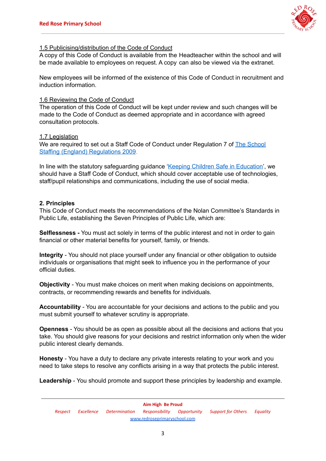

#### 1.5 Publicising/distribution of the Code of Conduct

A copy of this Code of Conduct is available from the Headteacher within the school and will be made available to employees on request. A copy can also be viewed via the extranet.

New employees will be informed of the existence of this Code of Conduct in recruitment and induction information.

#### 1.6 Reviewing the Code of Conduct

The operation of this Code of Conduct will be kept under review and such changes will be made to the Code of Conduct as deemed appropriate and in accordance with agreed consultation protocols.

#### 1.7 Legislation

We are required to set out a Staff Code of Conduct under Regulation 7 of The [School](http://www.legislation.gov.uk/uksi/2009/2680/contents/made) Staffing (England) [Regulations](http://www.legislation.gov.uk/uksi/2009/2680/contents/made) 2009.

In line with the statutory safeguarding guidance 'Keeping Children Safe in [Education'](https://www.gov.uk/government/publications/keeping-children-safe-in-education--2), we should have a Staff Code of Conduct, which should cover acceptable use of technologies, staff/pupil relationships and communications, including the use of social media.

#### **2. Principles**

This Code of Conduct meets the recommendations of the Nolan Committee's Standards in Public Life, establishing the Seven Principles of Public Life, which are:

**Selflessness -** You must act solely in terms of the public interest and not in order to gain financial or other material benefits for yourself, family, or friends.

**Integrity** - You should not place yourself under any financial or other obligation to outside individuals or organisations that might seek to influence you in the performance of your official duties.

**Objectivity** - You must make choices on merit when making decisions on appointments, contracts, or recommending rewards and benefits for individuals.

**Accountability** - You are accountable for your decisions and actions to the public and you must submit yourself to whatever scrutiny is appropriate.

**Openness** - You should be as open as possible about all the decisions and actions that you take. You should give reasons for your decisions and restrict information only when the wider public interest clearly demands.

**Honesty** - You have a duty to declare any private interests relating to your work and you need to take steps to resolve any conflicts arising in a way that protects the public interest.

**Leadership** - You should promote and support these principles by leadership and example.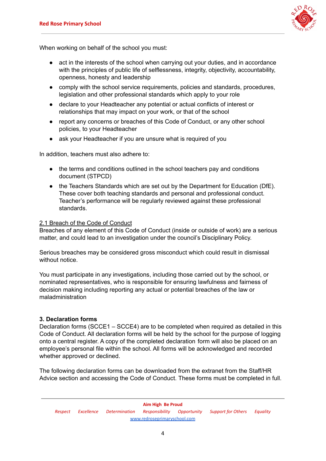

When working on behalf of the school you must:

- act in the interests of the school when carrying out your duties, and in accordance with the principles of public life of selflessness, integrity, objectivity, accountability, openness, honesty and leadership
- comply with the school service requirements, policies and standards, procedures, legislation and other professional standards which apply to your role
- declare to your Headteacher any potential or actual conflicts of interest or relationships that may impact on your work, or that of the school
- report any concerns or breaches of this Code of Conduct, or any other school policies, to your Headteacher
- ask your Headteacher if you are unsure what is required of you

In addition, teachers must also adhere to:

- the terms and conditions outlined in the school teachers pay and conditions document (STPCD)
- the Teachers Standards which are set out by the Department for Education (DfE). These cover both teaching standards and personal and professional conduct. Teacher's performance will be regularly reviewed against these professional standards.

#### 2.1 Breach of the Code of Conduct

Breaches of any element of this Code of Conduct (inside or outside of work) are a serious matter, and could lead to an investigation under the council's Disciplinary Policy.

Serious breaches may be considered gross misconduct which could result in dismissal without notice.

You must participate in any investigations, including those carried out by the school, or nominated representatives, who is responsible for ensuring lawfulness and fairness of decision making including reporting any actual or potential breaches of the law or maladministration

#### **3. Declaration forms**

Declaration forms (SCCE1 – SCCE4) are to be completed when required as detailed in this Code of Conduct. All declaration forms will be held by the school for the purpose of logging onto a central register. A copy of the completed declaration form will also be placed on an employee's personal file within the school. All forms will be acknowledged and recorded whether approved or declined.

The following declaration forms can be downloaded from the extranet from the Staff/HR Advice section and accessing the Code of Conduct. These forms must be completed in full.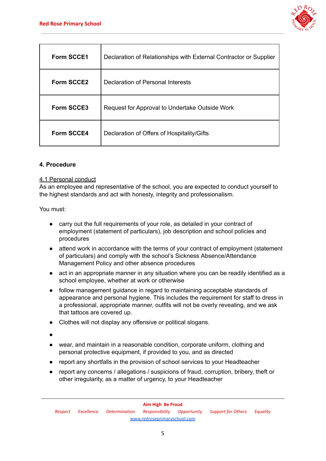

| <b>Form SCCE1</b> | Declaration of Relationships with External Contractor or Supplier |
|-------------------|-------------------------------------------------------------------|
| <b>Form SCCE2</b> | Declaration of Personal Interests                                 |
| <b>Form SCCE3</b> | Request for Approval to Undertake Outside Work                    |
| <b>Form SCCE4</b> | Declaration of Offers of Hospitality/Gifts                        |

### **4. Procedure**

#### 4.1 Personal conduct

As an employee and representative of the school, you are expected to conduct yourself to the highest standards and act with honesty, integrity and professionalism.

- carry out the full requirements of your role, as detailed in your contract of employment (statement of particulars), job description and school policies and procedures
- attend work in accordance with the terms of your contract of employment (statement of particulars) and comply with the school's Sickness Absence/Attendance Management Policy and other absence procedures
- act in an appropriate manner in any situation where you can be readily identified as a school employee, whether at work or otherwise
- follow management guidance in regard to maintaining acceptable standards of appearance and personal hygiene. This includes the requirement for staff to dress in a professional, appropriate manner, outfits will not be overly revealing, and we ask that tattoos are covered up.
- Clothes will not display any offensive or political slogans.
- ●
- wear, and maintain in a reasonable condition, corporate uniform, clothing and personal protective equipment, if provided to you, and as directed
- report any shortfalls in the provision of school services to your Headteacher
- report any concerns / allegations / suspicions of fraud, corruption, bribery, theft or other irregularity, as a matter of urgency, to your Headteacher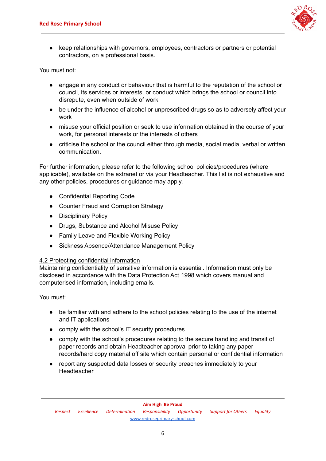

keep relationships with governors, employees, contractors or partners or potential contractors, on a professional basis.

You must not:

- engage in any conduct or behaviour that is harmful to the reputation of the school or council, its services or interests, or conduct which brings the school or council into disrepute, even when outside of work
- be under the influence of alcohol or unprescribed drugs so as to adversely affect your work
- misuse your official position or seek to use information obtained in the course of your work, for personal interests or the interests of others
- criticise the school or the council either through media, social media, verbal or written communication.

For further information, please refer to the following school policies/procedures (where applicable), available on the extranet or via your Headteacher. This list is not exhaustive and any other policies, procedures or guidance may apply.

- Confidential Reporting Code
- Counter Fraud and Corruption Strategy
- Disciplinary Policy
- Drugs, Substance and Alcohol Misuse Policy
- Family Leave and Flexible Working Policy
- Sickness Absence/Attendance Management Policy

#### 4.2 Protecting confidential information

Maintaining confidentiality of sensitive information is essential. Information must only be disclosed in accordance with the Data Protection Act 1998 which covers manual and computerised information, including emails.

- be familiar with and adhere to the school policies relating to the use of the internet and IT applications
- comply with the school's IT security procedures
- comply with the school's procedures relating to the secure handling and transit of paper records and obtain Headteacher approval prior to taking any paper records/hard copy material off site which contain personal or confidential information
- report any suspected data losses or security breaches immediately to your **Headteacher**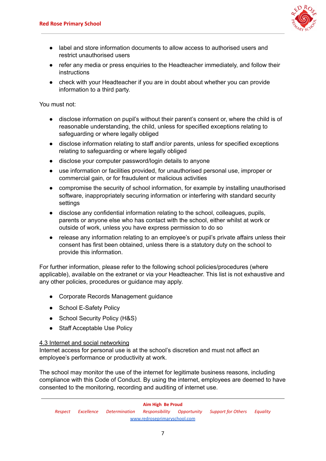

- label and store information documents to allow access to authorised users and restrict unauthorised users
- refer any media or press enquiries to the Headteacher immediately, and follow their instructions
- check with your Headteacher if you are in doubt about whether you can provide information to a third party.

You must not:

- disclose information on pupil's without their parent's consent or, where the child is of reasonable understanding, the child, unless for specified exceptions relating to safeguarding or where legally obliged
- disclose information relating to staff and/or parents, unless for specified exceptions relating to safeguarding or where legally obliged
- disclose your computer password/login details to anyone
- use information or facilities provided, for unauthorised personal use, improper or commercial gain, or for fraudulent or malicious activities
- compromise the security of school information, for example by installing unauthorised software, inappropriately securing information or interfering with standard security settings
- disclose any confidential information relating to the school, colleagues, pupils, parents or anyone else who has contact with the school, either whilst at work or outside of work, unless you have express permission to do so
- release any information relating to an employee's or pupil's private affairs unless their consent has first been obtained, unless there is a statutory duty on the school to provide this information.

For further information, please refer to the following school policies/procedures (where applicable), available on the extranet or via your Headteacher. This list is not exhaustive and any other policies, procedures or guidance may apply.

- Corporate Records Management guidance
- School E-Safety Policy
- School Security Policy (H&S)
- Staff Acceptable Use Policy

#### 4.3 Internet and social networking

Internet access for personal use is at the school's discretion and must not affect an employee's performance or productivity at work.

The school may monitor the use of the internet for legitimate business reasons, including compliance with this Code of Conduct. By using the internet, employees are deemed to have consented to the monitoring, recording and auditing of internet use.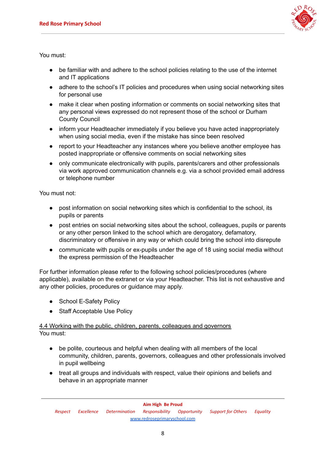

You must:

- be familiar with and adhere to the school policies relating to the use of the internet and IT applications
- adhere to the school's IT policies and procedures when using social networking sites for personal use
- make it clear when posting information or comments on social networking sites that any personal views expressed do not represent those of the school or Durham County Council
- inform your Headteacher immediately if you believe you have acted inappropriately when using social media, even if the mistake has since been resolved
- report to your Headteacher any instances where you believe another employee has posted inappropriate or offensive comments on social networking sites
- only communicate electronically with pupils, parents/carers and other professionals via work approved communication channels e.g. via a school provided email address or telephone number

You must not:

- post information on social networking sites which is confidential to the school, its pupils or parents
- post entries on social networking sites about the school, colleagues, pupils or parents or any other person linked to the school which are derogatory, defamatory, discriminatory or offensive in any way or which could bring the school into disrepute
- communicate with pupils or ex-pupils under the age of 18 using social media without the express permission of the Headteacher

For further information please refer to the following school policies/procedures (where applicable), available on the extranet or via your Headteacher. This list is not exhaustive and any other policies, procedures or guidance may apply.

- School E-Safety Policy
- Staff Acceptable Use Policy

4.4 Working with the public, children, parents, colleagues and governors You must:

- be polite, courteous and helpful when dealing with all members of the local community, children, parents, governors, colleagues and other professionals involved in pupil wellbeing
- treat all groups and individuals with respect, value their opinions and beliefs and behave in an appropriate manner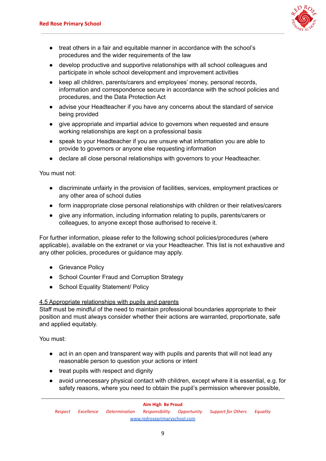

- treat others in a fair and equitable manner in accordance with the school's procedures and the wider requirements of the law
- develop productive and supportive relationships with all school colleagues and participate in whole school development and improvement activities
- keep all children, parents/carers and employees' money, personal records, information and correspondence secure in accordance with the school policies and procedures, and the Data Protection Act
- advise your Headteacher if you have any concerns about the standard of service being provided
- give appropriate and impartial advice to governors when requested and ensure working relationships are kept on a professional basis
- speak to your Headteacher if you are unsure what information you are able to provide to governors or anyone else requesting information
- declare all close personal relationships with governors to your Headteacher.

You must not:

- discriminate unfairly in the provision of facilities, services, employment practices or any other area of school duties
- form inappropriate close personal relationships with children or their relatives/carers
- give any information, including information relating to pupils, parents/carers or colleagues, to anyone except those authorised to receive it.

For further information, please refer to the following school policies/procedures (where applicable), available on the extranet or via your Headteacher. This list is not exhaustive and any other policies, procedures or guidance may apply.

- Grievance Policy
- School Counter Fraud and Corruption Strategy
- School Equality Statement/ Policy

#### 4.5 Appropriate relationships with pupils and parents

Staff must be mindful of the need to maintain professional boundaries appropriate to their position and must always consider whether their actions are warranted, proportionate, safe and applied equitably.

- act in an open and transparent way with pupils and parents that will not lead any reasonable person to question your actions or intent
- treat pupils with respect and dignity
- avoid unnecessary physical contact with children, except where it is essential, e.g. for safety reasons, where you need to obtain the pupil's permission wherever possible,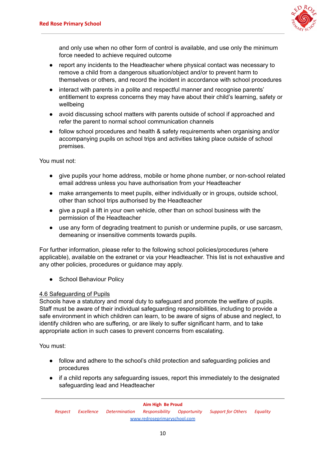

and only use when no other form of control is available, and use only the minimum force needed to achieve required outcome

- report any incidents to the Headteacher where physical contact was necessary to remove a child from a dangerous situation/object and/or to prevent harm to themselves or others, and record the incident in accordance with school procedures
- interact with parents in a polite and respectful manner and recognise parents' entitlement to express concerns they may have about their child's learning, safety or wellbeing
- avoid discussing school matters with parents outside of school if approached and refer the parent to normal school communication channels
- follow school procedures and health & safety requirements when organising and/or accompanying pupils on school trips and activities taking place outside of school premises.

You must not:

- give pupils your home address, mobile or home phone number, or non-school related email address unless you have authorisation from your Headteacher
- make arrangements to meet pupils, either individually or in groups, outside school, other than school trips authorised by the Headteacher
- give a pupil a lift in your own vehicle, other than on school business with the permission of the Headteacher
- use any form of degrading treatment to punish or undermine pupils, or use sarcasm, demeaning or insensitive comments towards pupils.

For further information, please refer to the following school policies/procedures (where applicable), available on the extranet or via your Headteacher. This list is not exhaustive and any other policies, procedures or guidance may apply.

● School Behaviour Policy

#### 4.6 Safeguarding of Pupils

Schools have a statutory and moral duty to safeguard and promote the welfare of pupils. Staff must be aware of their individual safeguarding responsibilities, including to provide a safe environment in which children can learn, to be aware of signs of abuse and neglect, to identify children who are suffering, or are likely to suffer significant harm, and to take appropriate action in such cases to prevent concerns from escalating.

- follow and adhere to the school's child protection and safeguarding policies and procedures
- if a child reports any safeguarding issues, report this immediately to the designated safeguarding lead and Headteacher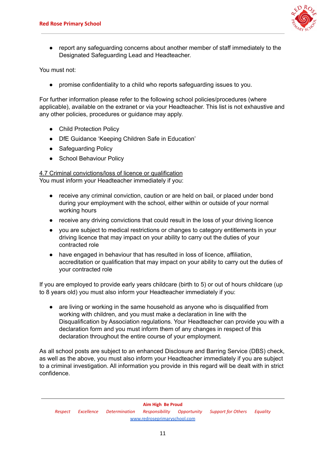

report any safeguarding concerns about another member of staff immediately to the Designated Safeguarding Lead and Headteacher.

You must not:

promise confidentiality to a child who reports safeguarding issues to you.

For further information please refer to the following school policies/procedures (where applicable), available on the extranet or via your Headteacher. This list is not exhaustive and any other policies, procedures or guidance may apply.

- Child Protection Policy
- DfE Guidance 'Keeping Children Safe in Education'
- Safeguarding Policy
- School Behaviour Policy

4.7 Criminal convictions/loss of licence or qualification

You must inform your Headteacher immediately if you:

- receive any criminal conviction, caution or are held on bail, or placed under bond during your employment with the school, either within or outside of your normal working hours
- receive any driving convictions that could result in the loss of your driving licence
- you are subject to medical restrictions or changes to category entitlements in your driving licence that may impact on your ability to carry out the duties of your contracted role
- have engaged in behaviour that has resulted in loss of licence, affiliation, accreditation or qualification that may impact on your ability to carry out the duties of your contracted role

If you are employed to provide early years childcare (birth to 5) or out of hours childcare (up to 8 years old) you must also inform your Headteacher immediately if you:

are living or working in the same household as anyone who is disqualified from working with children, and you must make a declaration in line with the Disqualification by Association regulations. Your Headteacher can provide you with a declaration form and you must inform them of any changes in respect of this declaration throughout the entire course of your employment.

As all school posts are subject to an enhanced Disclosure and Barring Service (DBS) check, as well as the above, you must also inform your Headteacher immediately if you are subject to a criminal investigation. All information you provide in this regard will be dealt with in strict confidence.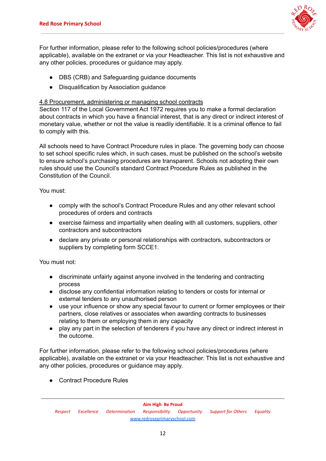

For further information, please refer to the following school policies/procedures (where applicable), available on the extranet or via your Headteacher. This list is not exhaustive and any other policies, procedures or guidance may apply.

- DBS (CRB) and Safeguarding guidance documents
- Disqualification by Association guidance

#### 4.8 Procurement, administering or managing school contracts

Section 117 of the Local Government Act 1972 requires you to make a formal declaration about contracts in which you have a financial interest, that is any direct or indirect interest of monetary value, whether or not the value is readily identifiable. It is a criminal offence to fail to comply with this.

All schools need to have Contract Procedure rules in place. The governing body can choose to set school specific rules which, in such cases, must be published on the school's website to ensure school's purchasing procedures are transparent. Schools not adopting their own rules should use the Council's standard Contract Procedure Rules as published in the Constitution of the Council.

You must:

- comply with the school's Contract Procedure Rules and any other relevant school procedures of orders and contracts
- exercise fairness and impartiality when dealing with all customers, suppliers, other contractors and subcontractors
- declare any private or personal relationships with contractors, subcontractors or suppliers by completing form SCCE1.

You must not:

- discriminate unfairly against anyone involved in the tendering and contracting process
- disclose any confidential information relating to tenders or costs for internal or external tenders to any unauthorised person
- use your influence or show any special favour to current or former employees or their partners, close relatives or associates when awarding contracts to businesses relating to them or employing them in any capacity
- play any part in the selection of tenderers if you have any direct or indirect interest in the outcome.

For further information, please refer to the following school policies/procedures (where applicable), available on the extranet or via your Headteacher. This list is not exhaustive and any other policies, procedures or guidance may apply.

● Contract Procedure Rules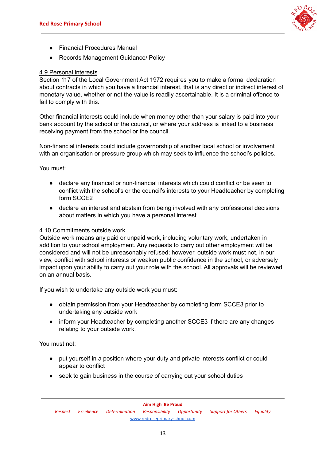

- Financial Procedures Manual
- Records Management Guidance/ Policy

#### 4.9 Personal interests

Section 117 of the Local Government Act 1972 requires you to make a formal declaration about contracts in which you have a financial interest, that is any direct or indirect interest of monetary value, whether or not the value is readily ascertainable. It is a criminal offence to fail to comply with this.

Other financial interests could include when money other than your salary is paid into your bank account by the school or the council, or where your address is linked to a business receiving payment from the school or the council.

Non-financial interests could include governorship of another local school or involvement with an organisation or pressure group which may seek to influence the school's policies.

You must:

- declare any financial or non-financial interests which could conflict or be seen to conflict with the school's or the council's interests to your Headteacher by completing form SCCE2
- declare an interest and abstain from being involved with any professional decisions about matters in which you have a personal interest.

#### 4.10 Commitments outside work

Outside work means any paid or unpaid work, including voluntary work, undertaken in addition to your school employment. Any requests to carry out other employment will be considered and will not be unreasonably refused; however, outside work must not, in our view, conflict with school interests or weaken public confidence in the school, or adversely impact upon your ability to carry out your role with the school. All approvals will be reviewed on an annual basis.

If you wish to undertake any outside work you must:

- obtain permission from your Headteacher by completing form SCCE3 prior to undertaking any outside work
- inform your Headteacher by completing another SCCE3 if there are any changes relating to your outside work.

You must not:

- put yourself in a position where your duty and private interests conflict or could appear to conflict
- seek to gain business in the course of carrying out your school duties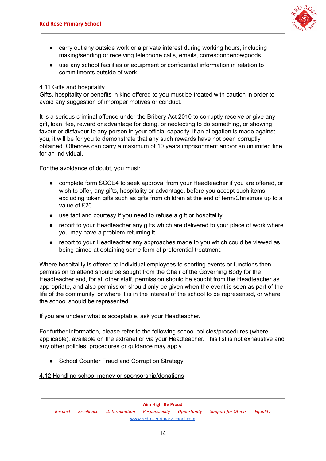

- carry out any outside work or a private interest during working hours, including making/sending or receiving telephone calls, emails, correspondence/goods
- use any school facilities or equipment or confidential information in relation to commitments outside of work.

#### 4.11 Gifts and hospitality

Gifts, hospitality or benefits in kind offered to you must be treated with caution in order to avoid any suggestion of improper motives or conduct.

It is a serious criminal offence under the Bribery Act 2010 to corruptly receive or give any gift, loan, fee, reward or advantage for doing, or neglecting to do something, or showing favour or disfavour to any person in your official capacity. If an allegation is made against you, it will be for you to demonstrate that any such rewards have not been corruptly obtained. Offences can carry a maximum of 10 years imprisonment and/or an unlimited fine for an individual.

For the avoidance of doubt, you must:

- complete form SCCE4 to seek approval from your Headteacher if you are offered, or wish to offer, any gifts, hospitality or advantage, before you accept such items, excluding token gifts such as gifts from children at the end of term/Christmas up to a value of £20
- use tact and courtesy if you need to refuse a gift or hospitality
- report to your Headteacher any gifts which are delivered to your place of work where you may have a problem returning it
- report to your Headteacher any approaches made to you which could be viewed as being aimed at obtaining some form of preferential treatment.

Where hospitality is offered to individual employees to sporting events or functions then permission to attend should be sought from the Chair of the Governing Body for the Headteacher and, for all other staff, permission should be sought from the Headteacher as appropriate, and also permission should only be given when the event is seen as part of the life of the community, or where it is in the interest of the school to be represented, or where the school should be represented.

If you are unclear what is acceptable, ask your Headteacher.

For further information, please refer to the following school policies/procedures (where applicable), available on the extranet or via your Headteacher. This list is not exhaustive and any other policies, procedures or guidance may apply.

● School Counter Fraud and Corruption Strategy

4.12 Handling school money or sponsorship/donations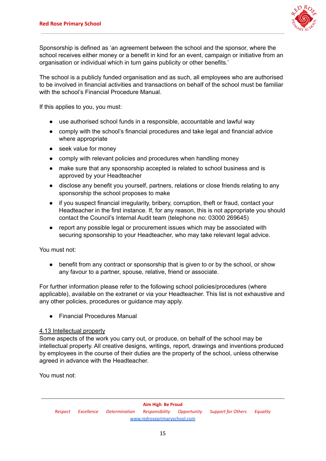

Sponsorship is defined as 'an agreement between the school and the sponsor, where the school receives either money or a benefit in kind for an event, campaign or initiative from an organisation or individual which in turn gains publicity or other benefits.'

The school is a publicly funded organisation and as such, all employees who are authorised to be involved in financial activities and transactions on behalf of the school must be familiar with the school's Financial Procedure Manual.

If this applies to you, you must:

- use authorised school funds in a responsible, accountable and lawful way
- comply with the school's financial procedures and take legal and financial advice where appropriate
- seek value for money
- comply with relevant policies and procedures when handling money
- make sure that any sponsorship accepted is related to school business and is approved by your Headteacher
- disclose any benefit you yourself, partners, relations or close friends relating to any sponsorship the school proposes to make
- if you suspect financial irregularity, bribery, corruption, theft or fraud, contact your Headteacher in the first instance. If, for any reason, this is not appropriate you should contact the Council's Internal Audit team (telephone no: 03000 269645)
- report any possible legal or procurement issues which may be associated with securing sponsorship to your Headteacher, who may take relevant legal advice.

You must not:

• benefit from any contract or sponsorship that is given to or by the school, or show any favour to a partner, spouse, relative, friend or associate.

For further information please refer to the following school policies/procedures (where applicable), available on the extranet or via your Headteacher. This list is not exhaustive and any other policies, procedures or guidance may apply.

● Financial Procedures Manual

#### 4.13 Intellectual property

Some aspects of the work you carry out, or produce, on behalf of the school may be intellectual property. All creative designs, writings, report, drawings and inventions produced by employees in the course of their duties are the property of the school, unless otherwise agreed in advance with the Headteacher.

You must not: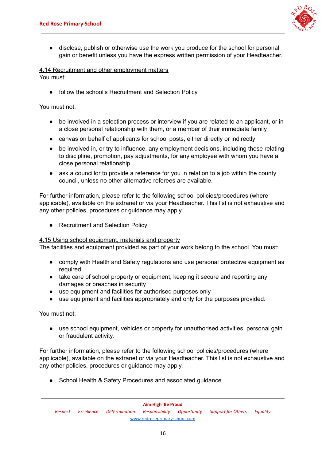

● disclose, publish or otherwise use the work you produce for the school for personal gain or benefit unless you have the express written permission of your Headteacher.

#### 4.14 Recruitment and other employment matters

You must:

follow the school's Recruitment and Selection Policy

You must not:

- be involved in a selection process or interview if you are related to an applicant, or in a close personal relationship with them, or a member of their immediate family
- canvas on behalf of applicants for school posts, either directly or indirectly
- be involved in, or try to influence, any employment decisions, including those relating to discipline, promotion, pay adjustments, for any employee with whom you have a close personal relationship
- ask a councillor to provide a reference for you in relation to a job within the county council, unless no other alternative referees are available.

For further information, please refer to the following school policies/procedures (where applicable), available on the extranet or via your Headteacher. This list is not exhaustive and any other policies, procedures or guidance may apply.

● Recruitment and Selection Policy

#### 4.15 Using school equipment, materials and property

The facilities and equipment provided as part of your work belong to the school. You must:

- comply with Health and Safety regulations and use personal protective equipment as required
- take care of school property or equipment, keeping it secure and reporting any damages or breaches in security
- use equipment and facilities for authorised purposes only
- use equipment and facilities appropriately and only for the purposes provided.

You must not:

• use school equipment, vehicles or property for unauthorised activities, personal gain or fraudulent activity.

For further information, please refer to the following school policies/procedures (where applicable), available on the extranet or via your Headteacher. This list is not exhaustive and any other policies, procedures or guidance may apply.

● School Health & Safety Procedures and associated guidance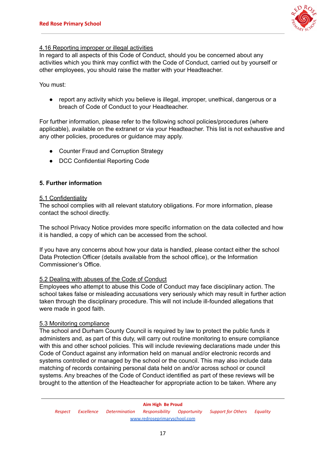

#### 4.16 Reporting improper or illegal activities

In regard to all aspects of this Code of Conduct, should you be concerned about any activities which you think may conflict with the Code of Conduct, carried out by yourself or other employees, you should raise the matter with your Headteacher.

You must:

● report any activity which you believe is illegal, improper, unethical, dangerous or a breach of Code of Conduct to your Headteacher.

For further information, please refer to the following school policies/procedures (where applicable), available on the extranet or via your Headteacher. This list is not exhaustive and any other policies, procedures or guidance may apply.

- Counter Fraud and Corruption Strategy
- DCC Confidential Reporting Code

## **5. Further information**

#### 5.1 Confidentiality

The school complies with all relevant statutory obligations. For more information, please contact the school directly.

The school Privacy Notice provides more specific information on the data collected and how it is handled, a copy of which can be accessed from the school.

If you have any concerns about how your data is handled, please contact either the school Data Protection Officer (details available from the school office), or the Information Commissioner's Office.

#### 5.2 Dealing with abuses of the Code of Conduct

Employees who attempt to abuse this Code of Conduct may face disciplinary action. The school takes false or misleading accusations very seriously which may result in further action taken through the disciplinary procedure. This will not include ill-founded allegations that were made in good faith.

#### 5.3 Monitoring compliance

The school and Durham County Council is required by law to protect the public funds it administers and, as part of this duty, will carry out routine monitoring to ensure compliance with this and other school policies. This will include reviewing declarations made under this Code of Conduct against any information held on manual and/or electronic records and systems controlled or managed by the school or the council. This may also include data matching of records containing personal data held on and/or across school or council systems. Any breaches of the Code of Conduct identified as part of these reviews will be brought to the attention of the Headteacher for appropriate action to be taken. Where any